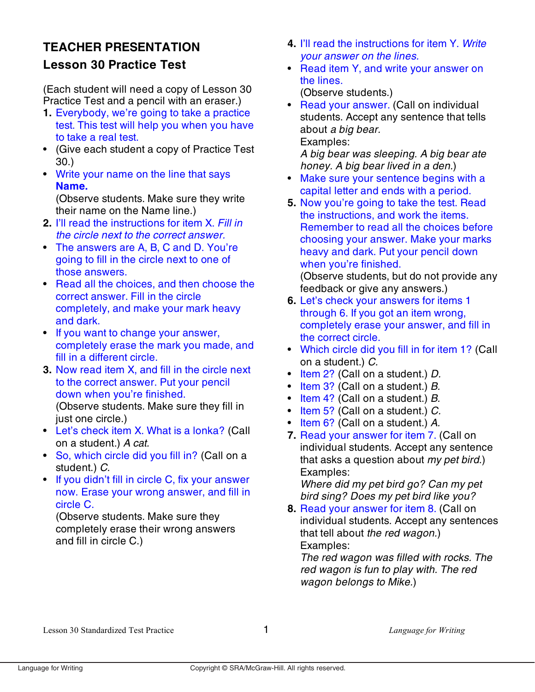## **TEACHER PRESENTATION Lesson 30 Practice Test**

(Each student will need a copy of Lesson 30 Practice Test and a pencil with an eraser.)

- **1.** Everybody, we're going to take a practice test. This test will help you when you have to take a real test.
- (Give each student a copy of Practice Test 30.)
- Write your name on the line that says **Name.**

(Observe students. Make sure they write their name on the Name line.)

- **2.** I'll read the instructions for item X. Fill in the circle next to the correct answer.
- The answers are A, B, C and D. You're going to fill in the circle next to one of those answers.
- Read all the choices, and then choose the correct answer. Fill in the circle completely, and make your mark heavy and dark.
- If you want to change your answer, completely erase the mark you made, and fill in a different circle.
- **3.** Now read item X, and fill in the circle next to the correct answer. Put your pencil down when you're finished. (Observe students. Make sure they fill in just one circle.)
- Let's check item X. What is a lonka? (Call on a student.) A cat.
- So, which circle did you fill in? (Call on a student.) C.
- If you didn't fill in circle C, fix your answer now. Erase your wrong answer, and fill in circle C.

(Observe students. Make sure they completely erase their wrong answers and fill in circle C.)

- **4.** I'll read the instructions for item Y. Write your answer on the lines.
- Read item Y, and write your answer on the lines.

(Observe students.)

• Read your answer. (Call on individual students. Accept any sentence that tells about a big bear. Examples:

A big bear was sleeping. A big bear ate honey. A big bear lived in a den.)

- Make sure your sentence begins with a capital letter and ends with a period.
- **5.** Now you're going to take the test. Read the instructions, and work the items. Remember to read all the choices before choosing your answer. Make your marks heavy and dark. Put your pencil down when you're finished.

(Observe students, but do not provide any feedback or give any answers.)

- **6.** Let's check your answers for items 1 through 6. If you got an item wrong, completely erase your answer, and fill in the correct circle.
- Which circle did you fill in for item 1? (Call on a student.) C.
- Item 2? (Call on a student.) D.
- Item 3? (Call on a student.) B.
- Item 4? (Call on a student.) B.
- $\bullet$  Item 5? (Call on a student.) C.
- Item 6? (Call on a student.) A.
- **7.** Read your answer for item 7. (Call on individual students. Accept any sentence that asks a question about my pet bird.) Examples:

Where did my pet bird go? Can my pet bird sing? Does my pet bird like you?

**8.** Read your answer for item 8. (Call on individual students. Accept any sentences that tell about the red wagon.) Examples:

The red wagon was filled with rocks. The red wagon is fun to play with. The red wagon belongs to Mike.)